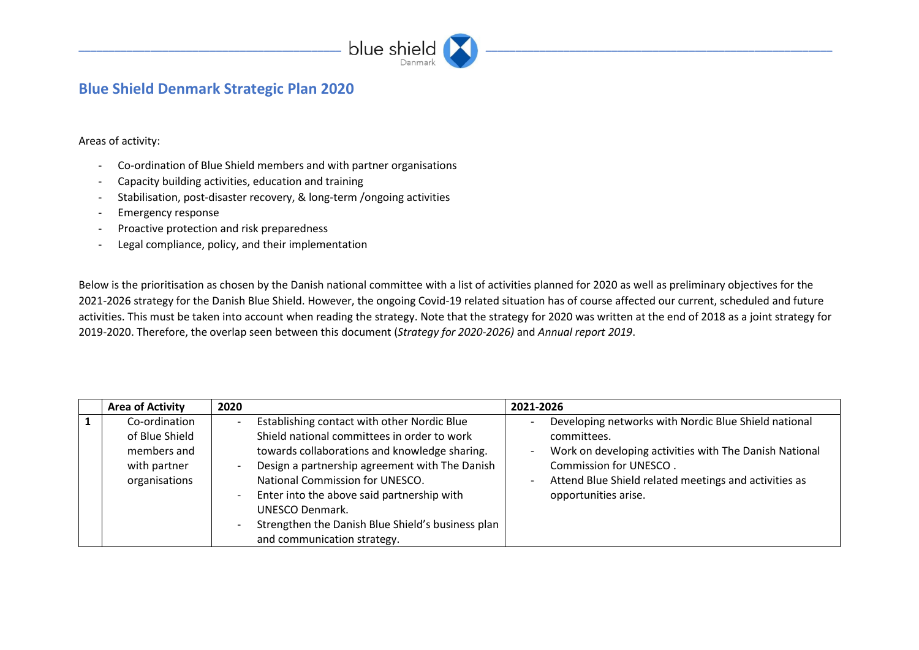

## **Blue Shield Denmark Strategic Plan 2020**

Areas of activity:

- Co-ordination of Blue Shield members and with partner organisations
- Capacity building activities, education and training
- Stabilisation, post-disaster recovery, & long-term /ongoing activities
- Emergency response
- Proactive protection and risk preparedness
- Legal compliance, policy, and their implementation

Below is the prioritisation as chosen by the Danish national committee with a list of activities planned for 2020 as well as preliminary objectives for the 2021-2026 strategy for the Danish Blue Shield. However, the ongoing Covid-19 related situation has of course affected our current, scheduled and future activities. This must be taken into account when reading the strategy. Note that the strategy for 2020 was written at the end of 2018 as a joint strategy for 2019-2020. Therefore, the overlap seen between this document (*Strategy for 2020-2026)* and *Annual report 2019*.

| <b>Area of Activity</b> | 2020                                              | 2021-2026                                                                          |
|-------------------------|---------------------------------------------------|------------------------------------------------------------------------------------|
| Co-ordination           | Establishing contact with other Nordic Blue       | Developing networks with Nordic Blue Shield national                               |
| of Blue Shield          | Shield national committees in order to work       | committees.                                                                        |
| members and             | towards collaborations and knowledge sharing.     | Work on developing activities with The Danish National<br>$\overline{\phantom{a}}$ |
| with partner            | Design a partnership agreement with The Danish    | Commission for UNESCO.                                                             |
| organisations           | National Commission for UNESCO.                   | Attend Blue Shield related meetings and activities as<br>$\overline{\phantom{0}}$  |
|                         | Enter into the above said partnership with        | opportunities arise.                                                               |
|                         | UNESCO Denmark.                                   |                                                                                    |
|                         | Strengthen the Danish Blue Shield's business plan |                                                                                    |
|                         | and communication strategy.                       |                                                                                    |